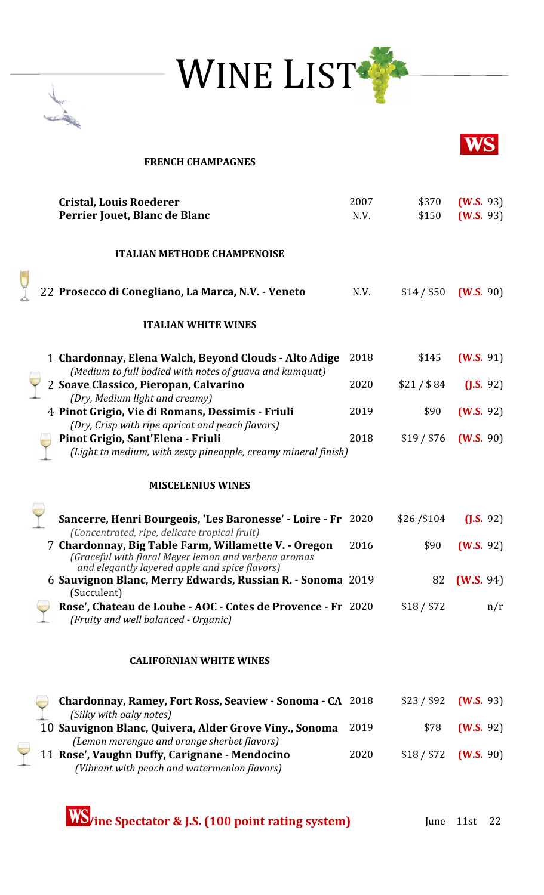



## **FRENCH CHAMPAGNES Cristal, Louis Roederer** 2007 \$370 **(W.S.** 93) **Perrier Jouet, Blanc de Blanc N.V.** \$150 **(W.S.** 93) **ITALIAN METHODE CHAMPENOISE** 22 **Prosecco di Conegliano, La Marca, N.V. - Veneto** N.V. \$14 / \$50 **(W.S.** 90) **ITALIAN WHITE WINES** 1 **Chardonnay, Elena Walch, Beyond Clouds - Alto Adige** 2018 \$145 **(W.S.** 91)  *(Medium to full bodied with notes of guava and kumquat)* 2 **Soave Classico, Pieropan, Calvarino** 2020 \$21 / \$ 84 **(J.S.** 92)  *(Dry, Medium light and creamy)* 4 **Pinot Grigio, Vie di Romans, Dessimis - Friuli** 2019 \$90 **(W.S.** 92)  *(Dry, Crisp with ripe apricot and peach flavors)* **Pinot Grigio, Sant'Elena - Friuli** 2018 \$19 / \$76 **(W.S.** 90)  *(Light to medium, with zesty pineapple, creamy mineral finish)* **MISCELENIUS WINES Sancerre, Henri Bourgeois, 'Les Baronesse' - Loire - Fr** 2020 \$26 /\$104 **(J.S.** 92)  *(Concentrated, ripe, delicate tropical fruit)* 7 **Chardonnay, Big Table Farm, Willamette V. - Oregon** 2016 \$90 **(W.S.** 92)  *(Graceful with floral Meyer lemon and verbena aromas and elegantly layered apple and spice flavors)* 6 **Sauvignon Blanc, Merry Edwards, Russian R. - Sonoma** 2019 82 **(W.S.** 94) (Succulent) **Rose', Chateau de Loube - AOC - Cotes de Provence - Fr** 2020 \$18/\$72 n/r  *(Fruity and well balanced - Organic)* **CALIFORNIAN WHITE WINES Chardonnay, Ramey, Fort Ross, Seaview - Sonoma - CA** 2018 \$23 / \$92 **(W.S.** 93)  *(Silky with oaky notes)* 10 **Sauvignon Blanc, Quivera, Alder Grove Viny., Sonoma** 2019 \$78 **(W.S.** 92)  *(Lemon merengue and orange sherbet flavors)* 11 **Rose', Vaughn Duffy, Carignane - Mendocino** 2020 \$18 / \$72 **(W.S.** 90)  *(Vibrant with peach and watermenlon flavors)*